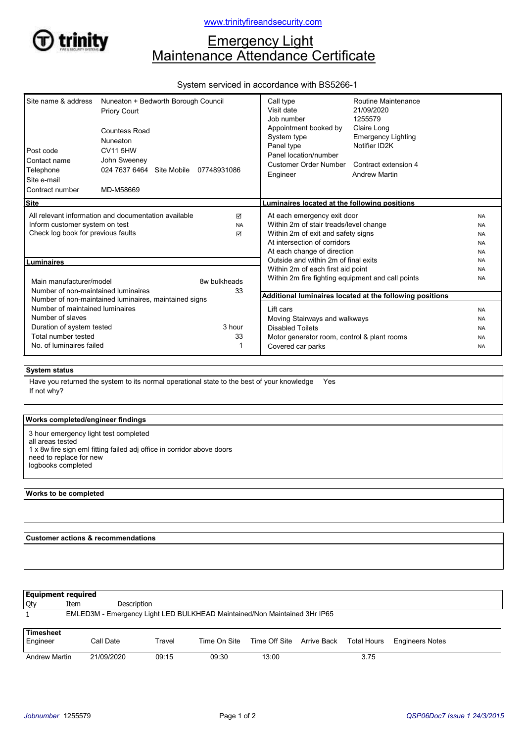

# **Emergency Light** Maintenance Attendance Certificate

## System serviced in accordance with BS5266-1

| 07748931086                                                                                                                                                        | Call type<br>Visit date<br>Job number<br>Appointment booked by<br>System type<br>Panel type<br>Panel location/number<br><b>Customer Order Number</b><br>Engineer | Routine Maintenance<br>21/09/2020<br>1255579<br>Claire Long<br><b>Emergency Lighting</b><br>Notifier ID2K<br>Contract extension 4<br><b>Andrew Martin</b> |                                                                                                                                                                                                                                                                                                                                                                                                                                                                   |
|--------------------------------------------------------------------------------------------------------------------------------------------------------------------|------------------------------------------------------------------------------------------------------------------------------------------------------------------|-----------------------------------------------------------------------------------------------------------------------------------------------------------|-------------------------------------------------------------------------------------------------------------------------------------------------------------------------------------------------------------------------------------------------------------------------------------------------------------------------------------------------------------------------------------------------------------------------------------------------------------------|
|                                                                                                                                                                    |                                                                                                                                                                  |                                                                                                                                                           |                                                                                                                                                                                                                                                                                                                                                                                                                                                                   |
| <b>Site</b><br>All relevant information and documentation available<br>☑<br>Inform customer system on test<br><b>NA</b><br>Check log book for previous faults<br>☑ |                                                                                                                                                                  |                                                                                                                                                           | <b>NA</b><br><b>NA</b><br><b>NA</b><br><b>NA</b><br><b>NA</b>                                                                                                                                                                                                                                                                                                                                                                                                     |
|                                                                                                                                                                    | Outside and within 2m of final exits                                                                                                                             |                                                                                                                                                           | <b>NA</b>                                                                                                                                                                                                                                                                                                                                                                                                                                                         |
| 8w bulkheads<br>33                                                                                                                                                 |                                                                                                                                                                  |                                                                                                                                                           | <b>NA</b><br><b>NA</b>                                                                                                                                                                                                                                                                                                                                                                                                                                            |
|                                                                                                                                                                    |                                                                                                                                                                  |                                                                                                                                                           |                                                                                                                                                                                                                                                                                                                                                                                                                                                                   |
| 3 hour<br>33                                                                                                                                                       | Lift cars<br><b>Disabled Toilets</b><br>Covered car parks                                                                                                        |                                                                                                                                                           | <b>NA</b><br><b>NA</b><br><b>NA</b><br><b>NA</b><br><b>NA</b>                                                                                                                                                                                                                                                                                                                                                                                                     |
|                                                                                                                                                                    |                                                                                                                                                                  |                                                                                                                                                           | Luminaires located at the following positions<br>At each emergency exit door<br>Within 2m of stair treads/level change<br>Within 2m of exit and safety signs<br>At intersection of corridors<br>At each change of direction<br>Within 2m of each first aid point<br>Within 2m fire fighting equipment and call points<br>Additional luminaires located at the following positions<br>Moving Stairways and walkways<br>Motor generator room, control & plant rooms |

### System status

If not why? Have you returned the system to its normal operational state to the best of your knowledge Yes

### Works completed/engineer findings

3 hour emergency light test completed

all areas tested

- 1 x 8w fire sign eml fitting failed adj office in corridor above doors
- need to replace for new
- logbooks completed

#### Works to be completed

Customer actions & recommendations

| <b>Equipment required</b>    |            |             |                                                                           |                                       |  |      |                        |  |  |  |
|------------------------------|------------|-------------|---------------------------------------------------------------------------|---------------------------------------|--|------|------------------------|--|--|--|
| <b>Qty</b>                   | Item       | Description |                                                                           |                                       |  |      |                        |  |  |  |
|                              |            |             | EMLED3M - Emergency Light LED BULKHEAD Maintained/Non Maintained 3Hr IP65 |                                       |  |      |                        |  |  |  |
| <b>Timesheet</b><br>Engineer | Call Date  | Travel      | Time On Site                                                              | Time Off Site Arrive Back Total Hours |  |      | <b>Engineers Notes</b> |  |  |  |
| <b>Andrew Martin</b>         | 21/09/2020 | 09:15       | 09:30                                                                     | 13:00                                 |  | 3.75 |                        |  |  |  |